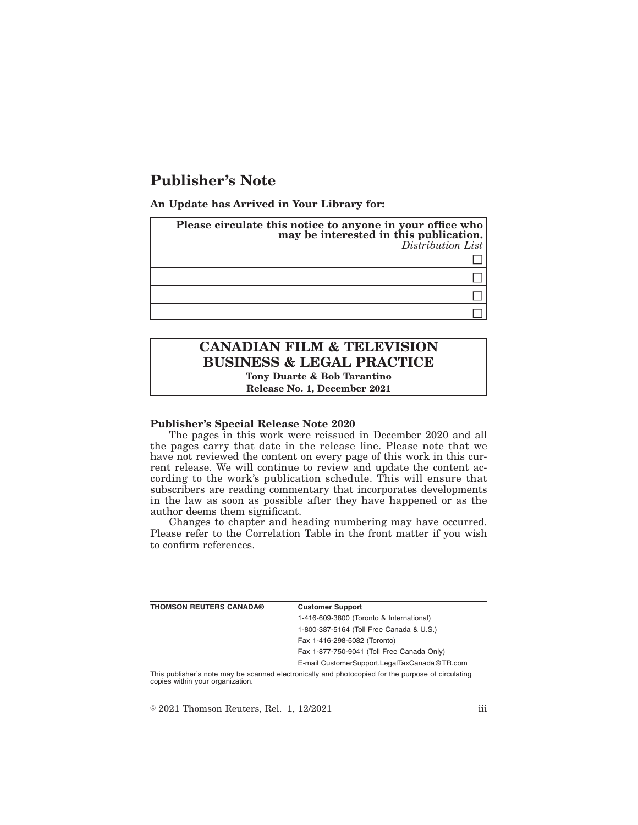# **Publisher's Note**

**An Update has Arrived in Your Library for:**

| Please circulate this notice to anyone in your office who<br>may be interested in this publication.<br>Distribution List |
|--------------------------------------------------------------------------------------------------------------------------|
|                                                                                                                          |
|                                                                                                                          |
|                                                                                                                          |
|                                                                                                                          |

## **CANADIAN FILM & TELEVISION BUSINESS & LEGAL PRACTICE Tony Duarte & Bob Tarantino**

**Release No. 1, December 2021**

### **Publisher's Special Release Note 2020**

The pages in this work were reissued in December 2020 and all the pages carry that date in the release line. Please note that we have not reviewed the content on every page of this work in this current release. We will continue to review and update the content according to the work's publication schedule. This will ensure that subscribers are reading commentary that incorporates developments in the law as soon as possible after they have happened or as the author deems them significant.

Changes to chapter and heading numbering may have occurred. Please refer to the Correlation Table in the front matter if you wish to confirm references.

| <b>THOMSON REUTERS CANADA®</b> | <b>Customer Support</b>                      |
|--------------------------------|----------------------------------------------|
|                                | 1-416-609-3800 (Toronto & International)     |
|                                | 1-800-387-5164 (Toll Free Canada & U.S.)     |
|                                | Fax 1-416-298-5082 (Toronto)                 |
|                                | Fax 1-877-750-9041 (Toll Free Canada Only)   |
|                                | E-mail CustomerSupport.LegalTaxCanada@TR.com |
|                                |                                              |

This publisher's note may be scanned electronically and photocopied for the purpose of circulating copies within your organization.

 $\textdegree$  2021 Thomson Reuters, Rel. 1, 12/2021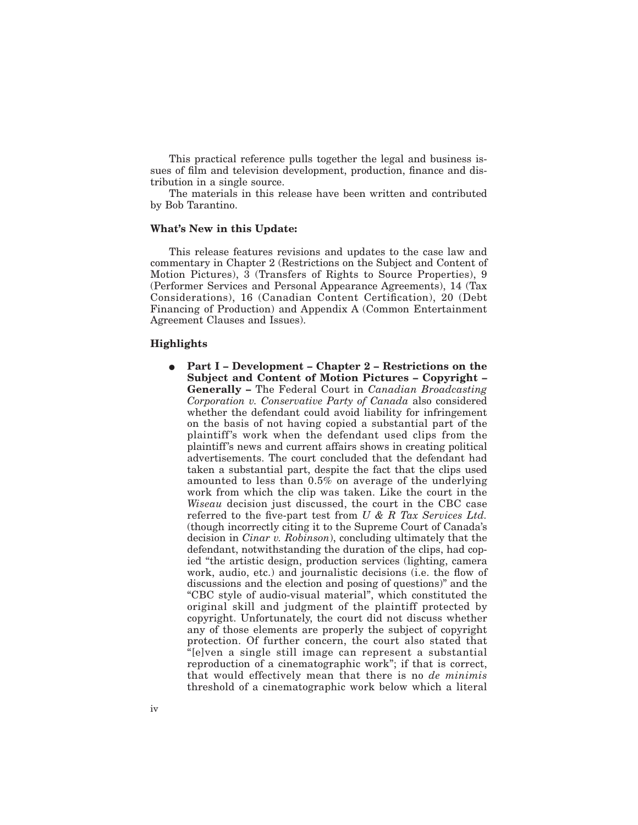This practical reference pulls together the legal and business issues of film and television development, production, finance and distribution in a single source.

The materials in this release have been written and contributed by Bob Tarantino.

#### **What's New in this Update:**

This release features revisions and updates to the case law and commentary in Chapter 2 (Restrictions on the Subject and Content of Motion Pictures), 3 (Transfers of Rights to Source Properties), 9 (Performer Services and Personal Appearance Agreements), 14 (Tax Considerations), 16 (Canadian Content Certification), 20 (Debt Financing of Production) and Appendix A (Common Entertainment Agreement Clauses and Issues).

## **Highlights**

E **Part I – Development – Chapter 2 – Restrictions on the Subject and Content of Motion Pictures – Copyright – Generally –** The Federal Court in *Canadian Broadcasting Corporation v. Conservative Party of Canada* also considered whether the defendant could avoid liability for infringement on the basis of not having copied a substantial part of the plaintiff's work when the defendant used clips from the plaintiff's news and current affairs shows in creating political advertisements. The court concluded that the defendant had taken a substantial part, despite the fact that the clips used amounted to less than 0.5% on average of the underlying work from which the clip was taken. Like the court in the *Wiseau* decision just discussed, the court in the CBC case referred to the five-part test from *U & R Tax Services Ltd.* (though incorrectly citing it to the Supreme Court of Canada's decision in *Cinar v. Robinson*), concluding ultimately that the defendant, notwithstanding the duration of the clips, had copied "the artistic design, production services (lighting, camera work, audio, etc.) and journalistic decisions (i.e. the flow of discussions and the election and posing of questions)" and the "CBC style of audio-visual material", which constituted the original skill and judgment of the plaintiff protected by copyright. Unfortunately, the court did not discuss whether any of those elements are properly the subject of copyright protection. Of further concern, the court also stated that "[e]ven a single still image can represent a substantial reproduction of a cinematographic work"; if that is correct, that would effectively mean that there is no *de minimis* threshold of a cinematographic work below which a literal